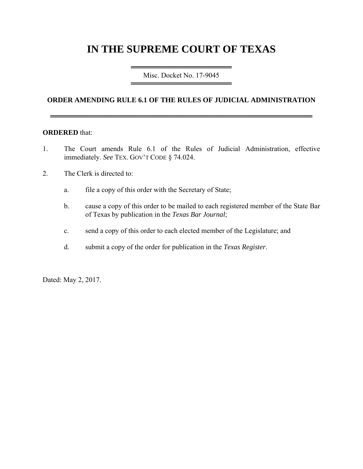# **IN THE SUPREME COURT OF TEXAS**

═════════════════════════════════════ Misc. Docket No. 17-9045 ═════════════════════════════════════

## **ORDER AMENDING RULE 6.1 OF THE RULES OF JUDICIAL ADMINISTRATION**

════════════════════════════════════════════════════

#### **ORDERED** that:

- 1. The Court amends Rule 6.1 of the Rules of Judicial Administration, effective immediately. *See* TEX. GOV'T CODE § 74.024.
- 2. The Clerk is directed to:
	- a. file a copy of this order with the Secretary of State;
	- b. cause a copy of this order to be mailed to each registered member of the State Bar of Texas by publication in the *Texas Bar Journal*;
	- c. send a copy of this order to each elected member of the Legislature; and
	- d. submit a copy of the order for publication in the *Texas Register*.

Dated: May 2, 2017.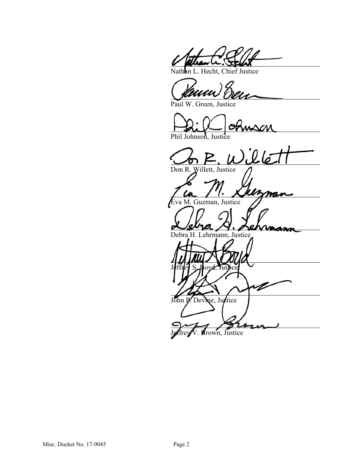In L. Hecht, Chief Justice

Paul W. Green, Justice

Phil Johnson, Justice

.<br>Llé Don R. Willett, Justice man va M. Guzman, Justice Debra H. Lehrmann, Justice Jeffrey S. Boyd, Justice D John P. Devine, Justice Jeffrey V. Brown, Justice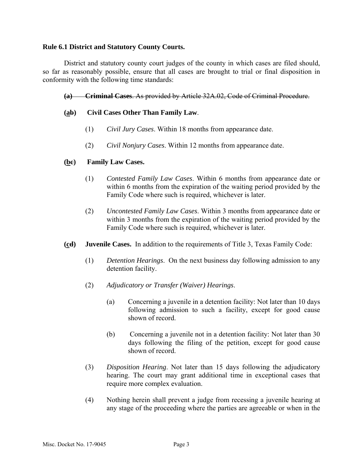#### **Rule 6.1 District and Statutory County Courts.**

District and statutory county court judges of the county in which cases are filed should, so far as reasonably possible, ensure that all cases are brought to trial or final disposition in conformity with the following time standards:

**(a) Criminal Cases**. As provided by Article 32A.02, Code of Criminal Procedure.

### **(ab) Civil Cases Other Than Family Law**.

- (1) *Civil Jury Cases*. Within 18 months from appearance date.
- (2) *Civil Nonjury Cases*. Within 12 months from appearance date.

#### **(bc) Family Law Cases.**

- (1) *Contested Family Law Cases*. Within 6 months from appearance date or within 6 months from the expiration of the waiting period provided by the Family Code where such is required, whichever is later.
- (2) *Uncontested Family Law Cases*. Within 3 months from appearance date or within 3 months from the expiration of the waiting period provided by the Family Code where such is required, whichever is later.
- **(cd) Juvenile Cases.** In addition to the requirements of Title 3, Texas Family Code:
	- (1) *Detention Hearings*. On the next business day following admission to any detention facility.
	- (2) *Adjudicatory or Transfer (Waiver) Hearings*.
		- (a) Concerning a juvenile in a detention facility: Not later than 10 days following admission to such a facility, except for good cause shown of record.
		- (b) Concerning a juvenile not in a detention facility: Not later than 30 days following the filing of the petition, except for good cause shown of record.
	- (3) *Disposition Hearing*. Not later than 15 days following the adjudicatory hearing. The court may grant additional time in exceptional cases that require more complex evaluation.
	- (4) Nothing herein shall prevent a judge from recessing a juvenile hearing at any stage of the proceeding where the parties are agreeable or when in the